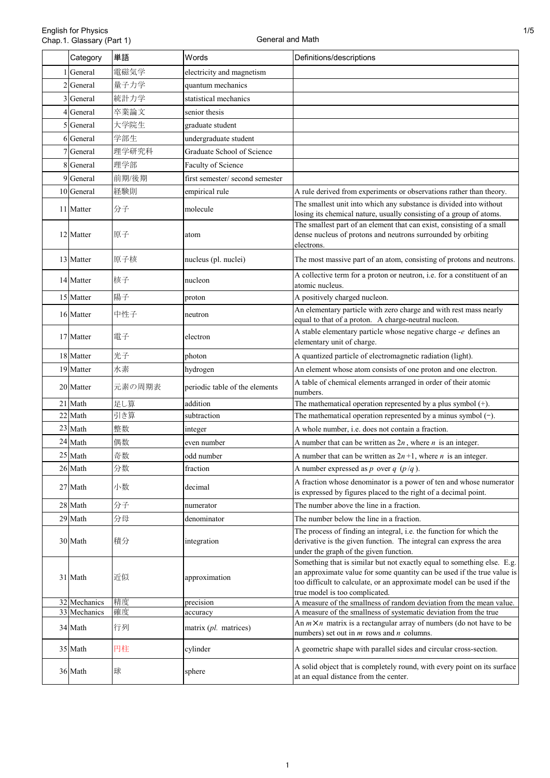|    | Category                | 単語       | Words                               | Definitions/descriptions                                                                                                                                                                                                                                       |  |
|----|-------------------------|----------|-------------------------------------|----------------------------------------------------------------------------------------------------------------------------------------------------------------------------------------------------------------------------------------------------------------|--|
|    | General                 | 電磁気学     | electricity and magnetism           |                                                                                                                                                                                                                                                                |  |
|    | General                 | 量子力学     | quantum mechanics                   |                                                                                                                                                                                                                                                                |  |
|    | 3 General               | 統計力学     | statistical mechanics               |                                                                                                                                                                                                                                                                |  |
|    | 4 General               | 卒業論文     | senior thesis                       |                                                                                                                                                                                                                                                                |  |
| 5  | General                 | 大学院生     | graduate student                    |                                                                                                                                                                                                                                                                |  |
|    | 6 General               | 学部生      | undergraduate student               |                                                                                                                                                                                                                                                                |  |
|    | 7 General               | 理学研究科    | Graduate School of Science          |                                                                                                                                                                                                                                                                |  |
|    | 8 General               | 理学部      | Faculty of Science                  |                                                                                                                                                                                                                                                                |  |
|    | 9 General               | 前期/後期    | first semester/second semester      |                                                                                                                                                                                                                                                                |  |
|    | 10 General              | 経験則      | empirical rule                      | A rule derived from experiments or observations rather than theory.                                                                                                                                                                                            |  |
|    | 11 Matter               | 分子       | molecule                            | The smallest unit into which any substance is divided into without<br>losing its chemical nature, usually consisting of a group of atoms.                                                                                                                      |  |
|    | 12 Matter               | 原子       | atom                                | The smallest part of an element that can exist, consisting of a small<br>dense nucleus of protons and neutrons surrounded by orbiting<br>electrons.                                                                                                            |  |
|    | 13 Matter               | 原子核      | nucleus (pl. nuclei)                | The most massive part of an atom, consisting of protons and neutrons.                                                                                                                                                                                          |  |
|    | 14 Matter               | 核子       | nucleon                             | A collective term for a proton or neutron, i.e. for a constituent of an<br>atomic nucleus.                                                                                                                                                                     |  |
|    | 15 Matter               | 陽子       | proton                              | A positively charged nucleon.                                                                                                                                                                                                                                  |  |
|    | 16 Matter               | 中性子      | neutron                             | An elementary particle with zero charge and with rest mass nearly<br>equal to that of a proton. A charge-neutral nucleon.                                                                                                                                      |  |
|    | 17 Matter               | 電子       | electron                            | A stable elementary particle whose negative charge -e defines an<br>elementary unit of charge.                                                                                                                                                                 |  |
|    | 18 Matter               | 光子       | photon                              | A quantized particle of electromagnetic radiation (light).                                                                                                                                                                                                     |  |
|    | 19 Matter               | 水素       | hydrogen                            | An element whose atom consists of one proton and one electron.                                                                                                                                                                                                 |  |
|    | 20 Matter               | 元素の周期表   | periodic table of the elements      | A table of chemical elements arranged in order of their atomic<br>numbers.                                                                                                                                                                                     |  |
|    | 21 Math                 | 足し算      | addition                            | The mathematical operation represented by a plus symbol $(+)$ .                                                                                                                                                                                                |  |
|    | 22 Math                 | 引き算      | subtraction                         | The mathematical operation represented by a minus symbol $(-)$ .                                                                                                                                                                                               |  |
|    | 23 Math                 | 整数       | integer                             | A whole number, i.e. does not contain a fraction.                                                                                                                                                                                                              |  |
| 24 | Math                    | 偶数       | even number                         | A number that can be written as $2n$ , where <i>n</i> is an integer.                                                                                                                                                                                           |  |
|    | $25\,$ Math             | 奇数       | odd number                          | A number that can be written as $2n+1$ , where <i>n</i> is an integer.                                                                                                                                                                                         |  |
|    | 26 Math                 | 分数       | fraction                            | A number expressed as p over q $(p/q)$ .                                                                                                                                                                                                                       |  |
|    | 27 Math                 | 小数       | decimal                             | A fraction whose denominator is a power of ten and whose numerator<br>is expressed by figures placed to the right of a decimal point.                                                                                                                          |  |
|    | 28 Math                 | 分子       | numerator                           | The number above the line in a fraction.                                                                                                                                                                                                                       |  |
|    | 29 Math                 | 分母       | denominator                         | The number below the line in a fraction.                                                                                                                                                                                                                       |  |
|    | 30 Math                 | 積分       | integration                         | The process of finding an integral, i.e. the function for which the<br>derivative is the given function. The integral can express the area<br>under the graph of the given function.                                                                           |  |
|    | 31 Math                 | 近似       | approximation                       | Something that is similar but not exactly equal to something else. E.g.<br>an approximate value for some quantity can be used if the true value is<br>too difficult to calculate, or an approximate model can be used if the<br>true model is too complicated. |  |
|    | 32 Mechanics            | 精度       | precision                           | A measure of the smallness of random deviation from the mean value.                                                                                                                                                                                            |  |
|    | 33 Mechanics<br>34 Math | 確度<br>行列 | accuracy<br>matrix $(pl.$ matrices) | A measure of the smallness of systematic deviation from the true<br>An $m \times n$ matrix is a rectangular array of numbers (do not have to be<br>numbers) set out in $m$ rows and $n$ columns.                                                               |  |
|    | 35 Math                 | 円柱       | cylinder                            | A geometric shape with parallel sides and circular cross-section.                                                                                                                                                                                              |  |
|    | 36 Math                 | 球        | sphere                              | A solid object that is completely round, with every point on its surface<br>at an equal distance from the center.                                                                                                                                              |  |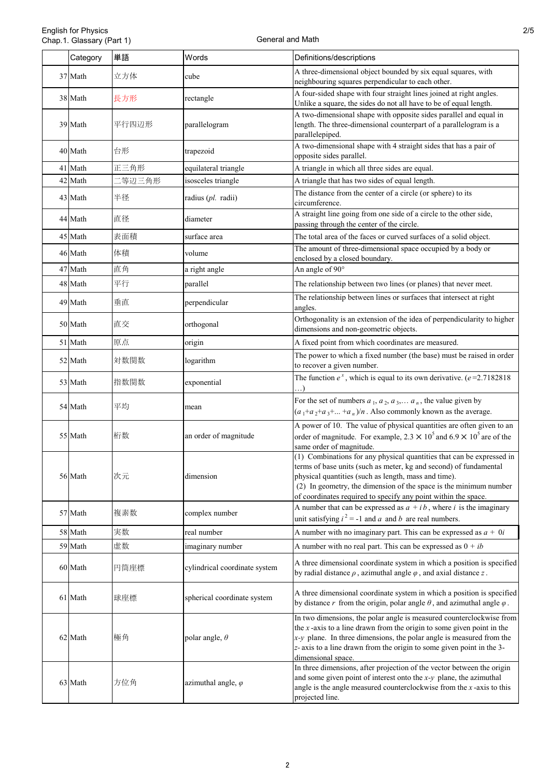| Category | 単語     | Words                         | Definitions/descriptions                                                                                                                                                                                                                                                                                                                  |  |
|----------|--------|-------------------------------|-------------------------------------------------------------------------------------------------------------------------------------------------------------------------------------------------------------------------------------------------------------------------------------------------------------------------------------------|--|
| 37 Math  | 立方体    | cube                          | A three-dimensional object bounded by six equal squares, with<br>neighbouring squares perpendicular to each other.                                                                                                                                                                                                                        |  |
| 38 Math  | 長方形    | rectangle                     | A four-sided shape with four straight lines joined at right angles.<br>Unlike a square, the sides do not all have to be of equal length.                                                                                                                                                                                                  |  |
| 39 Math  | 平行四辺形  | parallelogram                 | A two-dimensional shape with opposite sides parallel and equal in<br>length. The three-dimensional counterpart of a parallelogram is a<br>parallelepiped.                                                                                                                                                                                 |  |
| 40 Math  | 台形     | trapezoid                     | A two-dimensional shape with 4 straight sides that has a pair of<br>opposite sides parallel.                                                                                                                                                                                                                                              |  |
| 41 Math  | 正三角形   | equilateral triangle          | A triangle in which all three sides are equal.                                                                                                                                                                                                                                                                                            |  |
| 42 Math  | 二等辺三角形 | isosceles triangle            | A triangle that has two sides of equal length.                                                                                                                                                                                                                                                                                            |  |
| 43 Math  | 半径     | radius (pl. radii)            | The distance from the center of a circle (or sphere) to its<br>circumference.                                                                                                                                                                                                                                                             |  |
| 44 Math  | 直径     | diameter                      | A straight line going from one side of a circle to the other side,<br>passing through the center of the circle.                                                                                                                                                                                                                           |  |
| 45 Math  | 表面積    | surface area                  | The total area of the faces or curved surfaces of a solid object.                                                                                                                                                                                                                                                                         |  |
| 46 Math  | 体積     | volume                        | The amount of three-dimensional space occupied by a body or<br>enclosed by a closed boundary.                                                                                                                                                                                                                                             |  |
| 47 Math  | 直角     | a right angle                 | An angle of 90°                                                                                                                                                                                                                                                                                                                           |  |
| 48 Math  | 平行     | parallel                      | The relationship between two lines (or planes) that never meet.                                                                                                                                                                                                                                                                           |  |
| 49 Math  | 垂直     | perpendicular                 | The relationship between lines or surfaces that intersect at right<br>angles.                                                                                                                                                                                                                                                             |  |
| 50 Math  | 直交     | orthogonal                    | Orthogonality is an extension of the idea of perpendicularity to higher<br>dimensions and non-geometric objects.                                                                                                                                                                                                                          |  |
| 51 Math  | 原点     | origin                        | A fixed point from which coordinates are measured.                                                                                                                                                                                                                                                                                        |  |
| 52 Math  | 対数関数   | logarithm                     | The power to which a fixed number (the base) must be raised in order<br>to recover a given number.                                                                                                                                                                                                                                        |  |
| 53 Math  | 指数関数   | exponential                   | The function $e^x$ , which is equal to its own derivative. ( $e=2.7182818$ )<br>$\ldots$                                                                                                                                                                                                                                                  |  |
| 54 Math  | 平均     | mean                          | For the set of numbers $a_1, a_2, a_3, \ldots, a_n$ , the value given by<br>$(a_1+a_2+a_3++a_n)/n$ . Also commonly known as the average.                                                                                                                                                                                                  |  |
| 55 Math  | 桁数     | an order of magnitude         | A power of 10. The value of physical quantities are often given to an<br>order of magnitude. For example, $2.3 \times 10^5$ and $6.9 \times 10^5$ are of the<br>same order of magnitude.                                                                                                                                                  |  |
| 56 Math  | 次元     | dimension                     | (1) Combinations for any physical quantities that can be expressed in<br>terms of base units (such as meter, kg and second) of fundamental<br>physical quantities (such as length, mass and time).<br>(2) In geometry, the dimension of the space is the minimum number<br>of coordinates required to specify any point within the space. |  |
| 57 Math  | 複素数    | complex number                | A number that can be expressed as $a + ib$ , where i is the imaginary<br>unit satisfying $i^2 = -1$ and a and b are real numbers.                                                                                                                                                                                                         |  |
| 58 Math  | 実数     | real number                   | A number with no imaginary part. This can be expressed as $a + 0i$                                                                                                                                                                                                                                                                        |  |
| 59 Math  | 虚数     | imaginary number              | A number with no real part. This can be expressed as $0 + ib$                                                                                                                                                                                                                                                                             |  |
| 60 Math  | 円筒座標   | cylindrical coordinate system | A three dimensional coordinate system in which a position is specified<br>by radial distance $\rho$ , azimuthal angle $\varphi$ , and axial distance z.                                                                                                                                                                                   |  |
| 61 Math  | 球座標    | spherical coordinate system   | A three dimensional coordinate system in which a position is specified<br>by distance r from the origin, polar angle $\theta$ , and azimuthal angle $\varphi$ .                                                                                                                                                                           |  |
| 62 Math  | 極角     | polar angle, $\theta$         | In two dimensions, the polar angle is measured counterclockwise from<br>the $x$ -axis to a line drawn from the origin to some given point in the<br>$x-y$ plane. In three dimensions, the polar angle is measured from the<br>z- axis to a line drawn from the origin to some given point in the 3-<br>dimensional space.                 |  |
| 63 Math  | 方位角    | azimuthal angle, $\varphi$    | In three dimensions, after projection of the vector between the origin<br>and some given point of interest onto the $x-y$ plane, the azimuthal<br>angle is the angle measured counterclockwise from the $x$ -axis to this<br>projected line.                                                                                              |  |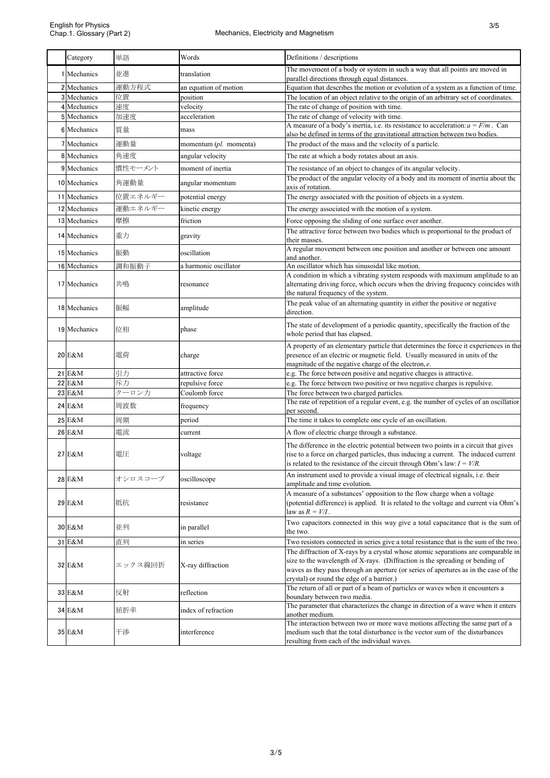3/5

| Category     | 単語      | Words                             | Definitions / descriptions                                                                                                                                                                                                                                                                              |  |
|--------------|---------|-----------------------------------|---------------------------------------------------------------------------------------------------------------------------------------------------------------------------------------------------------------------------------------------------------------------------------------------------------|--|
| 1 Mechanics  | 並進      | translation                       | The movement of a body or system in such a way that all points are moved in                                                                                                                                                                                                                             |  |
| 2 Mechanics  | 運動方程式   |                                   | parallel directions through equal distances.                                                                                                                                                                                                                                                            |  |
| 3 Mechanics  | 位置      | an equation of motion<br>position | Equation that describes the motion or evolution of a system as a function of time.<br>The location of an object relative to the origin of an arbitrary set of coordinates.                                                                                                                              |  |
| 4 Mechanics  | 速度      | velocity                          | The rate of change of position with time.                                                                                                                                                                                                                                                               |  |
| 5 Mechanics  | 加速度     | acceleration                      | The rate of change of velocity with time.                                                                                                                                                                                                                                                               |  |
|              |         |                                   | A measure of a body's inertia, i.e. its resistance to acceleration: $a = F/m$ . Can                                                                                                                                                                                                                     |  |
| 6 Mechanics  | 質量      | mass                              | also be defined in terms of the gravitational attraction between two bodies.                                                                                                                                                                                                                            |  |
| 7 Mechanics  | 運動量     | momentum $(pl.$ momenta)          | The product of the mass and the velocity of a particle.                                                                                                                                                                                                                                                 |  |
| 8 Mechanics  | 角速度     | angular velocity                  | The rate at which a body rotates about an axis.                                                                                                                                                                                                                                                         |  |
| 9 Mechanics  | 慣性モーメント | moment of inertia                 | The resistance of an object to changes of its angular velocity.                                                                                                                                                                                                                                         |  |
| 10 Mechanics | 角運動量    | angular momentum                  | The product of the angular velocity of a body and its moment of inertia about the<br>axis of rotation.                                                                                                                                                                                                  |  |
| 11 Mechanics | 位置エネルギー | potential energy                  | The energy associated with the position of objects in a system.                                                                                                                                                                                                                                         |  |
| 12 Mechanics | 運動エネルギー | kinetic energy                    | The energy associated with the motion of a system.                                                                                                                                                                                                                                                      |  |
| 13 Mechanics | 摩擦      | friction                          | Force opposing the sliding of one surface over another.                                                                                                                                                                                                                                                 |  |
| 14 Mechanics | 重力      | gravity                           | The attractive force between two bodies which is proportional to the product of<br>their masses.                                                                                                                                                                                                        |  |
| 15 Mechanics | 振動      | oscillation                       | A regular movement between one position and another or between one amount                                                                                                                                                                                                                               |  |
| 16 Mechanics | 調和振動子   | a harmonic oscillator             | and another.<br>An oscillator which has sinusoidal like motion.                                                                                                                                                                                                                                         |  |
|              |         |                                   | A condition in which a vibrating system responds with maximum amplitude to an                                                                                                                                                                                                                           |  |
| 17 Mechanics | 共鳴      | resonance                         | alternating driving force, which occurs when the driving frequency coincides with                                                                                                                                                                                                                       |  |
|              |         |                                   | the natural frequency of the system.                                                                                                                                                                                                                                                                    |  |
| 18 Mechanics | 振幅      | amplitude                         | The peak value of an alternating quantity in either the positive or negative<br>direction.                                                                                                                                                                                                              |  |
| 19 Mechanics | 位相      | phase                             | The state of development of a periodic quantity, specifically the fraction of the<br>whole period that has elapsed.                                                                                                                                                                                     |  |
| 20 E&M       | 電荷      | charge                            | A property of an elementary particle that determines the force it experiences in the<br>presence of an electric or magnetic field. Usually measured in units of the<br>magnitude of the negative charge of the electron, e.                                                                             |  |
| 21 E&M       | 引力      | attractive force                  | e.g. The force between positive and negative charges is attractive.                                                                                                                                                                                                                                     |  |
| 22 E&M       | 斥力      | repulsive force                   | e.g. The force between two positive or two negative charges is repulsive.                                                                                                                                                                                                                               |  |
| 23 E&M       | クーロン力   | Coulomb force                     | The force between two charged particles.                                                                                                                                                                                                                                                                |  |
| 24 E&M       | 周波数     | frequency                         | The rate of repetition of a regular event, e.g. the number of cycles of an oscillation<br>per second.                                                                                                                                                                                                   |  |
| 25 E&M       | 周期      | period                            | The time it takes to complete one cycle of an oscillation.                                                                                                                                                                                                                                              |  |
| 26 E&M       | 電流      | current                           | A flow of electric charge through a substance.                                                                                                                                                                                                                                                          |  |
|              |         |                                   |                                                                                                                                                                                                                                                                                                         |  |
| 27 E&M       | 電圧      | voltage                           | The difference in the electric potential between two points in a circuit that gives<br>rise to a force on charged particles, thus inducing a current. The induced current<br>is related to the resistance of the circuit through Ohm's law: $I = V/R$ .                                                 |  |
| 28 E&M       | オシロスコープ | oscilloscope                      | An instrument used to provide a visual image of electrical signals, i.e. their<br>amplitude and time evolution.                                                                                                                                                                                         |  |
| 29 E&M       | 抵抗      | resistance                        | A measure of a substances' opposition to the flow charge when a voltage<br>(potential difference) is applied. It is related to the voltage and current via Ohm's<br>law as $R = V/I$ .                                                                                                                  |  |
| 30 E&M       | 並列      | in parallel                       | Two capacitors connected in this way give a total capacitance that is the sum of<br>the two.                                                                                                                                                                                                            |  |
| 31 E&M       | 直列      | in series                         | Two resistors connected in series give a total resistance that is the sum of the two.                                                                                                                                                                                                                   |  |
| 32 E&M       | エックス線回折 | X-ray diffraction                 | The diffraction of X-rays by a crystal whose atomic separations are comparable in<br>size to the wavelength of X-rays. (Diffraction is the spreading or bending of<br>waves as they pass through an aperture (or series of apertures as in the case of the<br>crystal) or round the edge of a barrier.) |  |
| 33 E&M       | 反射      | reflection                        | The return of all or part of a beam of particles or waves when it encounters a<br>boundary between two media.                                                                                                                                                                                           |  |
| 34 E&M       | 屈折率     | index of refraction               | The parameter that characterizes the change in direction of a wave when it enters<br>another medium.                                                                                                                                                                                                    |  |
| 35 E&M       | 干涉      | interference                      | The interaction between two or more wave motions affecting the same part of a<br>medium such that the total disturbance is the vector sum of the disturbances<br>resulting from each of the individual waves.                                                                                           |  |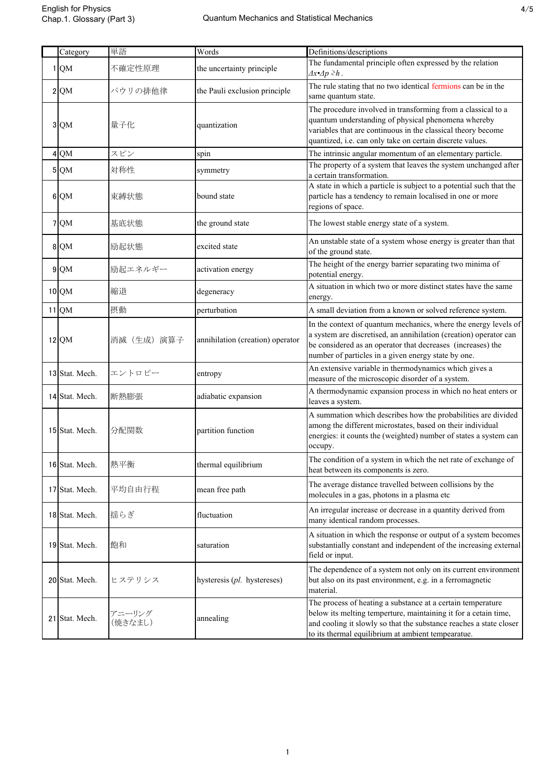| Category        | 単語                | Words                            | Definitions/descriptions                                                                                                                                                                                                                                   |  |
|-----------------|-------------------|----------------------------------|------------------------------------------------------------------------------------------------------------------------------------------------------------------------------------------------------------------------------------------------------------|--|
| $1 \Omega M$    | 不確定性原理            | the uncertainty principle        | The fundamental principle often expressed by the relation<br>$\Delta x \triangleleft p \geq h$ .                                                                                                                                                           |  |
| $2$ QM          | パウリの排他律           | the Pauli exclusion principle    | The rule stating that no two identical fermions can be in the<br>same quantum state.                                                                                                                                                                       |  |
| 3 QM            | 量子化               | quantization                     | The procedure involved in transforming from a classical to a<br>quantum understanding of physical phenomena whereby<br>variables that are continuous in the classical theory become<br>quantized, i.e. can only take on certain discrete values.           |  |
| 4 QM            | スピン               | spin                             | The intrinsic angular momentum of an elementary particle.                                                                                                                                                                                                  |  |
| 5 QM            | 対称性               | symmetry                         | The property of a system that leaves the system unchanged after<br>a certain transformation.                                                                                                                                                               |  |
| 6 QM            | 束縛状態              | bound state                      | A state in which a particle is subject to a potential such that the<br>particle has a tendency to remain localised in one or more<br>regions of space.                                                                                                     |  |
| 7 QM            | 基底状態              | the ground state                 | The lowest stable energy state of a system.                                                                                                                                                                                                                |  |
| 8 QM            | 励起状態              | excited state                    | An unstable state of a system whose energy is greater than that<br>of the ground state.                                                                                                                                                                    |  |
| 9 <sub>QM</sub> | 励起エネルギー           | activation energy                | The height of the energy barrier separating two minima of<br>potential energy.                                                                                                                                                                             |  |
| 10 QM           | 縮退                | degeneracy                       | A situation in which two or more distinct states have the same<br>energy.                                                                                                                                                                                  |  |
| 11 QM           | 摂動                | perturbation                     | A small deviation from a known or solved reference system.                                                                                                                                                                                                 |  |
| 12 QM           | 消滅(生成)演算子         | annihilation (creation) operator | In the context of quantum mechanics, where the energy levels of<br>a system are discretised, an annihilation (creation) operator can<br>be considered as an operator that decreases (increases) the<br>number of particles in a given energy state by one. |  |
| 13 Stat. Mech.  | エントロピー            | entropy                          | An extensive variable in thermodynamics which gives a<br>measure of the microscopic disorder of a system.                                                                                                                                                  |  |
| 14 Stat. Mech.  | 断熱膨張              | adiabatic expansion              | A thermodynamic expansion process in which no heat enters or<br>leaves a system.                                                                                                                                                                           |  |
| 15 Stat. Mech.  | 分配関数              | partition function               | A summation which describes how the probabilities are divided<br>among the different microstates, based on their individual<br>energies: it counts the (weighted) number of states a system can<br>occupy.                                                 |  |
| 16 Stat. Mech.  | 熱平衡               | thermal equilibrium              | The condition of a system in which the net rate of exchange of<br>heat between its components is zero.                                                                                                                                                     |  |
| 17 Stat. Mech.  | 平均自由行程            | mean free path                   | The average distance travelled between collisions by the<br>molecules in a gas, photons in a plasma etc                                                                                                                                                    |  |
| 18 Stat. Mech.  | 揺らぎ               | fluctuation                      | An irregular increase or decrease in a quantity derived from<br>many identical random processes.                                                                                                                                                           |  |
| 19 Stat. Mech.  | 飽和                | saturation                       | A situation in which the response or output of a system becomes<br>substantially constant and independent of the increasing external<br>field or input.                                                                                                    |  |
| 20 Stat. Mech.  | ヒステリシス            | hysteresis (pl. hystereses)      | The dependence of a system not only on its current environment<br>but also on its past environment, e.g. in a ferromagnetic<br>material.                                                                                                                   |  |
| 21 Stat. Mech.  | アニーリング<br>(焼きなまし) | annealing                        | The process of heating a substance at a certain temperature<br>below its melting temperture, maintaining it for a cetain time,<br>and cooling it slowly so that the substance reaches a state closer<br>to its thermal equilibrium at ambient tempearatue. |  |